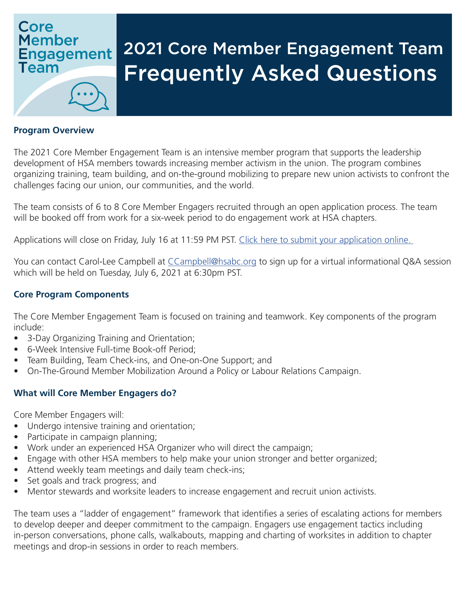# Core **Member Engagement** Team

# 2021 Core Member Engagement Team Frequently Asked Questions

#### **Program Overview**

The 2021 Core Member Engagement Team is an intensive member program that supports the leadership development of HSA members towards increasing member activism in the union. The program combines organizing training, team building, and on-the-ground mobilizing to prepare new union activists to confront the challenges facing our union, our communities, and the world.

The team consists of 6 to 8 Core Member Engagers recruited through an open application process. The team will be booked off from work for a six-week period to do engagement work at HSA chapters.

Applications will close on Friday, July 16 at 11:59 PM PST. Click here to submit your application online.

You can contact Carol-Lee Campbell at *CCampbell@hsabc.org* to sign up for a virtual informational Q&A session which will be held on Tuesday, July 6, 2021 at 6:30pm PST.

#### **Core Program Components**

The Core Member Engagement Team is focused on training and teamwork. Key components of the program include:

- 3-Day Organizing Training and Orientation;
- 6-Week Intensive Full-time Book-off Period;
- Team Building, Team Check-ins, and One-on-One Support; and
- On-The-Ground Member Mobilization Around a Policy or Labour Relations Campaign.

#### **What will Core Member Engagers do?**

Core Member Engagers will:

- Undergo intensive training and orientation;
- Participate in campaign planning;
- Work under an experienced HSA Organizer who will direct the campaign;
- Engage with other HSA members to help make your union stronger and better organized;
- Attend weekly team meetings and daily team check-ins;
- Set goals and track progress; and
- Mentor stewards and worksite leaders to increase engagement and recruit union activists.

The team uses a "ladder of engagement" framework that identifies a series of escalating actions for members to develop deeper and deeper commitment to the campaign. Engagers use engagement tactics including in-person conversations, phone calls, walkabouts, mapping and charting of worksites in addition to chapter meetings and drop-in sessions in order to reach members.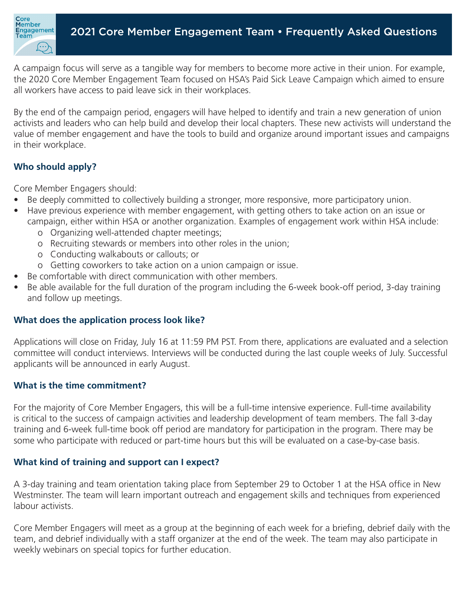

A campaign focus will serve as a tangible way for members to become more active in their union. For example, the 2020 Core Member Engagement Team focused on HSA's Paid Sick Leave Campaign which aimed to ensure all workers have access to paid leave sick in their workplaces.

By the end of the campaign period, engagers will have helped to identify and train a new generation of union activists and leaders who can help build and develop their local chapters. These new activists will understand the value of member engagement and have the tools to build and organize around important issues and campaigns in their workplace.

# **Who should apply?**

Core Member Engagers should:

- Be deeply committed to collectively building a stronger, more responsive, more participatory union.
- Have previous experience with member engagement, with getting others to take action on an issue or campaign, either within HSA or another organization. Examples of engagement work within HSA include:
	- o Organizing well-attended chapter meetings;
	- o Recruiting stewards or members into other roles in the union;
	- o Conducting walkabouts or callouts; or
	- o Getting coworkers to take action on a union campaign or issue.
- Be comfortable with direct communication with other members.
- Be able available for the full duration of the program including the 6-week book-off period, 3-day training and follow up meetings.

# **What does the application process look like?**

Applications will close on Friday, July 16 at 11:59 PM PST. From there, applications are evaluated and a selection committee will conduct interviews. Interviews will be conducted during the last couple weeks of July. Successful applicants will be announced in early August.

#### **What is the time commitment?**

For the majority of Core Member Engagers, this will be a full-time intensive experience. Full-time availability is critical to the success of campaign activities and leadership development of team members. The fall 3-day training and 6-week full-time book off period are mandatory for participation in the program. There may be some who participate with reduced or part-time hours but this will be evaluated on a case-by-case basis.

#### **What kind of training and support can I expect?**

A 3-day training and team orientation taking place from September 29 to October 1 at the HSA office in New Westminster. The team will learn important outreach and engagement skills and techniques from experienced labour activists.

Core Member Engagers will meet as a group at the beginning of each week for a briefing, debrief daily with the team, and debrief individually with a staff organizer at the end of the week. The team may also participate in weekly webinars on special topics for further education.